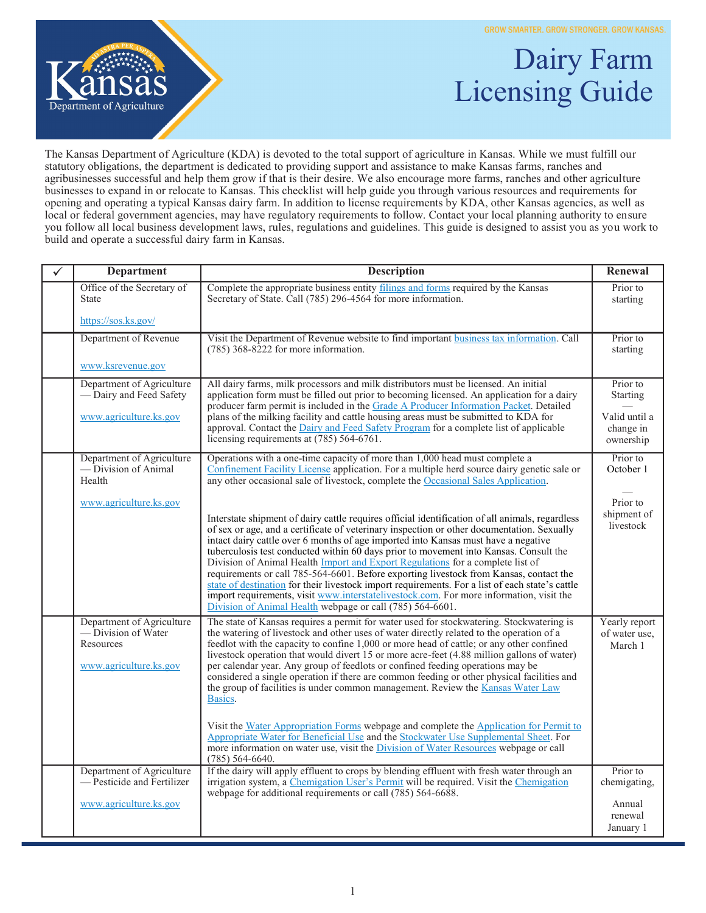GROW SMARTER. GROW STRONGER. GROW KANSAS.



## Dairy Farm Licensing Guide

The Kansas Department of Agriculture (KDA) is devoted to the total support of agriculture in Kansas. While we must fulfill our statutory obligations, the department is dedicated to providing support and assistance to make Kansas farms, ranches and agribusinesses successful and help them grow if that is their desire. We also encourage more farms, ranches and other agriculture businesses to expand in or relocate to Kansas. This checklist will help guide you through various resources and requirements for opening and operating a typical Kansas dairy farm. In addition to license requirements by KDA, other Kansas agencies, as well as local or federal government agencies, may have regulatory requirements to follow. Contact your local planning authority to ensure you follow all local business development laws, rules, regulations and guidelines. This guide is designed to assist you as you work to build and operate a successful dairy farm in Kansas.

| <b>Department</b>                                                                       | <b>Description</b>                                                                                                                                                                                                                                                                                                                                                                                                                                                                                                                                                                                                                                                                                                                                                                                                                                                                                                                                                | Renewal                                   |
|-----------------------------------------------------------------------------------------|-------------------------------------------------------------------------------------------------------------------------------------------------------------------------------------------------------------------------------------------------------------------------------------------------------------------------------------------------------------------------------------------------------------------------------------------------------------------------------------------------------------------------------------------------------------------------------------------------------------------------------------------------------------------------------------------------------------------------------------------------------------------------------------------------------------------------------------------------------------------------------------------------------------------------------------------------------------------|-------------------------------------------|
| Office of the Secretary of<br><b>State</b>                                              | Complete the appropriate business entity filings and forms required by the Kansas<br>Secretary of State. Call (785) 296-4564 for more information.                                                                                                                                                                                                                                                                                                                                                                                                                                                                                                                                                                                                                                                                                                                                                                                                                | Prior to<br>starting                      |
| https://sos.ks.gov/                                                                     |                                                                                                                                                                                                                                                                                                                                                                                                                                                                                                                                                                                                                                                                                                                                                                                                                                                                                                                                                                   |                                           |
| Department of Revenue                                                                   | Visit the Department of Revenue website to find important business tax information. Call<br>$(785)$ 368-8222 for more information.                                                                                                                                                                                                                                                                                                                                                                                                                                                                                                                                                                                                                                                                                                                                                                                                                                | Prior to<br>starting                      |
| www.ksrevenue.gov                                                                       |                                                                                                                                                                                                                                                                                                                                                                                                                                                                                                                                                                                                                                                                                                                                                                                                                                                                                                                                                                   |                                           |
| Department of Agriculture<br>— Dairy and Feed Safety                                    | All dairy farms, milk processors and milk distributors must be licensed. An initial<br>application form must be filled out prior to becoming licensed. An application for a dairy<br>producer farm permit is included in the Grade A Producer Information Packet. Detailed                                                                                                                                                                                                                                                                                                                                                                                                                                                                                                                                                                                                                                                                                        | Prior to<br><b>Starting</b>               |
| www.agriculture.ks.gov                                                                  | plans of the milking facility and cattle housing areas must be submitted to KDA for<br>approval. Contact the Dairy and Feed Safety Program for a complete list of applicable<br>licensing requirements at (785) 564-6761.                                                                                                                                                                                                                                                                                                                                                                                                                                                                                                                                                                                                                                                                                                                                         | Valid until a<br>change in<br>ownership   |
| Department of Agriculture<br>— Division of Animal<br>Health                             | Operations with a one-time capacity of more than 1,000 head must complete a<br>Confinement Facility License application. For a multiple herd source dairy genetic sale or<br>any other occasional sale of livestock, complete the Occasional Sales Application.                                                                                                                                                                                                                                                                                                                                                                                                                                                                                                                                                                                                                                                                                                   | Prior to<br>October 1                     |
| www.agriculture.ks.gov                                                                  | Interstate shipment of dairy cattle requires official identification of all animals, regardless<br>of sex or age, and a certificate of veterinary inspection or other documentation. Sexually<br>intact dairy cattle over 6 months of age imported into Kansas must have a negative<br>tuberculosis test conducted within 60 days prior to movement into Kansas. Consult the<br>Division of Animal Health <i>Import and Export Regulations</i> for a complete list of<br>requirements or call 785-564-6601. Before exporting livestock from Kansas, contact the<br>state of destination for their livestock import requirements. For a list of each state's cattle<br>import requirements, visit www.interstatelivestock.com. For more information, visit the<br>Division of Animal Health webpage or call (785) 564-6601.                                                                                                                                        | Prior to<br>shipment of<br>livestock      |
| Department of Agriculture<br>— Division of Water<br>Resources<br>www.agriculture.ks.gov | The state of Kansas requires a permit for water used for stockwatering. Stockwatering is<br>the watering of livestock and other uses of water directly related to the operation of a<br>feedlot with the capacity to confine 1,000 or more head of cattle; or any other confined<br>livestock operation that would divert 15 or more acre-feet (4.88 million gallons of water)<br>per calendar year. Any group of feedlots or confined feeding operations may be<br>considered a single operation if there are common feeding or other physical facilities and<br>the group of facilities is under common management. Review the <b>Kansas Water Law</b><br>Basics.<br>Visit the Water Appropriation Forms webpage and complete the Application for Permit to<br>Appropriate Water for Beneficial Use and the Stockwater Use Supplemental Sheet. For<br>more information on water use, visit the Division of Water Resources webpage or call<br>$(785)$ 564-6640. | Yearly report<br>of water use.<br>March 1 |
| Department of Agriculture<br>- Pesticide and Fertilizer                                 | If the dairy will apply effluent to crops by blending effluent with fresh water through an<br>irrigation system, a Chemigation User's Permit will be required. Visit the Chemigation<br>webpage for additional requirements or call (785) 564-6688.                                                                                                                                                                                                                                                                                                                                                                                                                                                                                                                                                                                                                                                                                                               | Prior to<br>chemigating,                  |
| www.agriculture.ks.gov                                                                  |                                                                                                                                                                                                                                                                                                                                                                                                                                                                                                                                                                                                                                                                                                                                                                                                                                                                                                                                                                   | Annual<br>renewal<br>January 1            |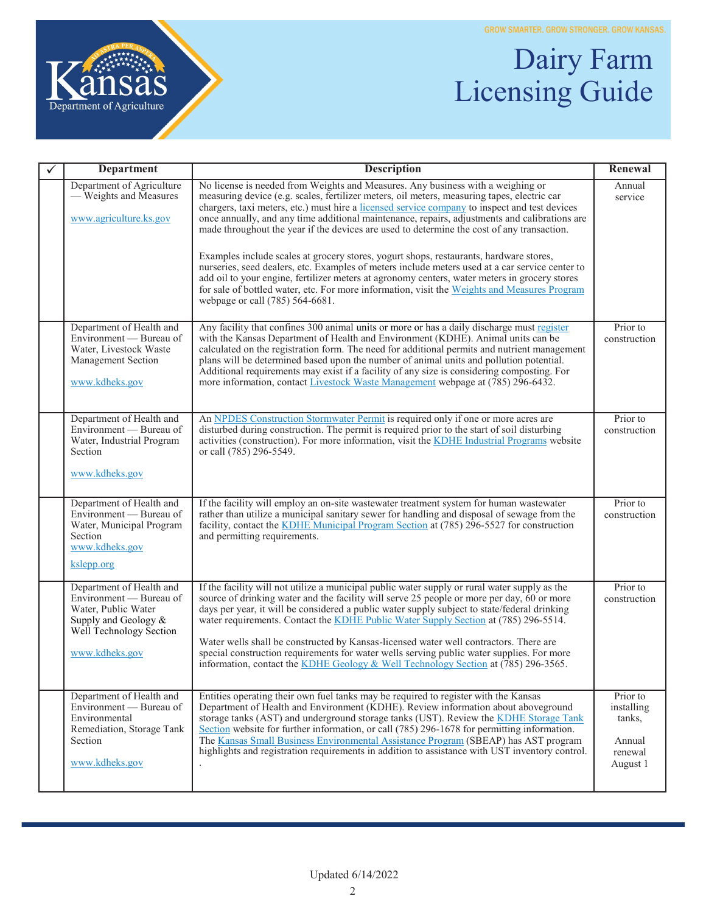

## Dairy Farm Licensing Guide

| <b>Department</b>                                                                                                                               | <b>Description</b>                                                                                                                                                                                                                                                                                                                                                                                                                                                                                                                                                                                                                                               | Renewal                                                           |
|-------------------------------------------------------------------------------------------------------------------------------------------------|------------------------------------------------------------------------------------------------------------------------------------------------------------------------------------------------------------------------------------------------------------------------------------------------------------------------------------------------------------------------------------------------------------------------------------------------------------------------------------------------------------------------------------------------------------------------------------------------------------------------------------------------------------------|-------------------------------------------------------------------|
| Department of Agriculture<br>- Weights and Measures<br>www.agriculture.ks.gov                                                                   | No license is needed from Weights and Measures. Any business with a weighing or<br>measuring device (e.g. scales, fertilizer meters, oil meters, measuring tapes, electric car<br>chargers, taxi meters, etc.) must hire a licensed service company to inspect and test devices<br>once annually, and any time additional maintenance, repairs, adjustments and calibrations are<br>made throughout the year if the devices are used to determine the cost of any transaction.<br>Examples include scales at grocery stores, yogurt shops, restaurants, hardware stores,                                                                                         | Annual<br>service                                                 |
|                                                                                                                                                 | nurseries, seed dealers, etc. Examples of meters include meters used at a car service center to<br>add oil to your engine, fertilizer meters at agronomy centers, water meters in grocery stores<br>for sale of bottled water, etc. For more information, visit the Weights and Measures Program<br>webpage or call (785) 564-6681.                                                                                                                                                                                                                                                                                                                              |                                                                   |
| Department of Health and<br>Environment — Bureau of<br>Water, Livestock Waste<br>Management Section<br>www.kdheks.gov                           | Any facility that confines 300 animal units or more or has a daily discharge must register<br>with the Kansas Department of Health and Environment (KDHE). Animal units can be<br>calculated on the registration form. The need for additional permits and nutrient management<br>plans will be determined based upon the number of animal units and pollution potential.<br>Additional requirements may exist if a facility of any size is considering composting. For<br>more information, contact Livestock Waste Management webpage at (785) 296-6432.                                                                                                       | Prior to<br>construction                                          |
| Department of Health and<br>Environment - Bureau of<br>Water, Industrial Program<br>Section<br>www.kdheks.gov                                   | An NPDES Construction Stormwater Permit is required only if one or more acres are<br>disturbed during construction. The permit is required prior to the start of soil disturbing<br>activities (construction). For more information, visit the KDHE Industrial Programs website<br>or call (785) 296-5549.                                                                                                                                                                                                                                                                                                                                                       | Prior to<br>construction                                          |
| Department of Health and<br>Environment — Bureau of<br>Water, Municipal Program<br>Section<br>www.kdheks.gov<br>kslepp.org                      | If the facility will employ an on-site wastewater treatment system for human wastewater<br>rather than utilize a municipal sanitary sewer for handling and disposal of sewage from the<br>facility, contact the KDHE Municipal Program Section at (785) 296-5527 for construction<br>and permitting requirements.                                                                                                                                                                                                                                                                                                                                                | Prior to<br>construction                                          |
| Department of Health and<br>Environment — Bureau of<br>Water, Public Water<br>Supply and Geology &<br>Well Technology Section<br>www.kdheks.gov | If the facility will not utilize a municipal public water supply or rural water supply as the<br>source of drinking water and the facility will serve 25 people or more per day, 60 or more<br>days per year, it will be considered a public water supply subject to state/federal drinking<br>water requirements. Contact the KDHE Public Water Supply Section at (785) 296-5514.<br>Water wells shall be constructed by Kansas-licensed water well contractors. There are<br>special construction requirements for water wells serving public water supplies. For more<br>information, contact the KDHE Geology & Well Technology Section at $(785)$ 296-3565. | Prior to<br>construction                                          |
| Department of Health and<br>Environment — Bureau of<br>Environmental<br>Remediation, Storage Tank<br>Section<br>www.kdheks.gov                  | Entities operating their own fuel tanks may be required to register with the Kansas<br>Department of Health and Environment (KDHE). Review information about above ground<br>storage tanks (AST) and underground storage tanks (UST). Review the KDHE Storage Tank<br>Section website for further information, or call (785) 296-1678 for permitting information.<br>The Kansas Small Business Environmental Assistance Program (SBEAP) has AST program<br>highlights and registration requirements in addition to assistance with UST inventory control.                                                                                                        | Prior to<br>installing<br>tanks,<br>Annual<br>renewal<br>August 1 |